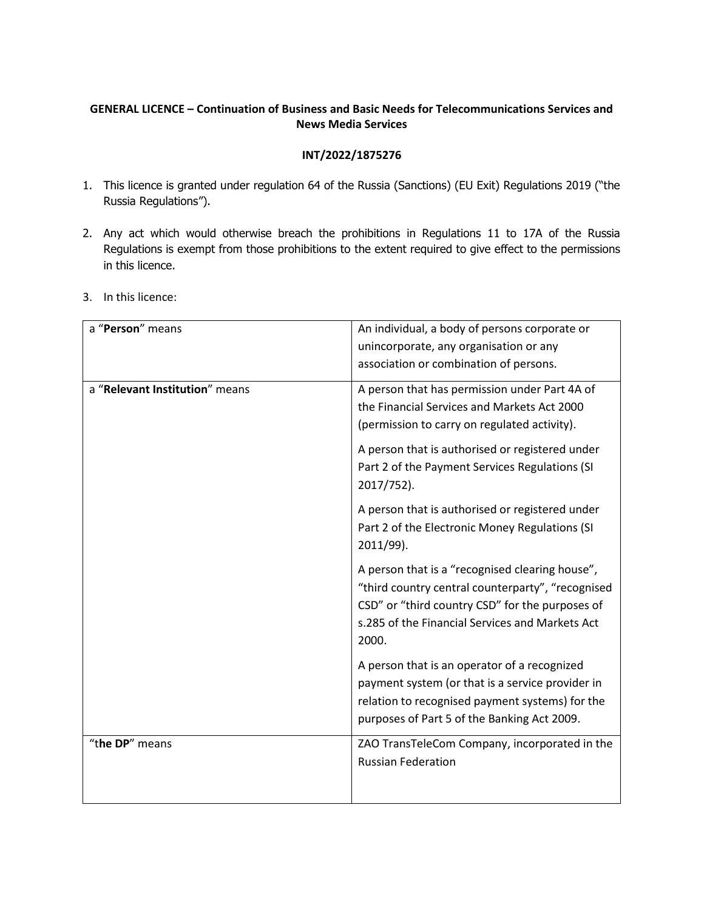# **GENERAL LICENCE – Continuation of Business and Basic Needs for Telecommunications Services and News Media Services**

### **INT/2022/1875276**

- 1. This licence is granted under regulation 64 of the Russia (Sanctions) (EU Exit) Regulations 2019 ("the Russia Regulations").
- 2. Any act which would otherwise breach the prohibitions in Regulations 11 to 17A of the Russia Regulations is exempt from those prohibitions to the extent required to give effect to the permissions in this licence.
- 3. In this licence:

| a "Person" means               | An individual, a body of persons corporate or<br>unincorporate, any organisation or any<br>association or combination of persons.                                                                                   |
|--------------------------------|---------------------------------------------------------------------------------------------------------------------------------------------------------------------------------------------------------------------|
| a "Relevant Institution" means | A person that has permission under Part 4A of<br>the Financial Services and Markets Act 2000<br>(permission to carry on regulated activity).                                                                        |
|                                | A person that is authorised or registered under<br>Part 2 of the Payment Services Regulations (SI<br>2017/752).                                                                                                     |
|                                | A person that is authorised or registered under<br>Part 2 of the Electronic Money Regulations (SI<br>2011/99).                                                                                                      |
|                                | A person that is a "recognised clearing house",<br>"third country central counterparty", "recognised<br>CSD" or "third country CSD" for the purposes of<br>s.285 of the Financial Services and Markets Act<br>2000. |
|                                | A person that is an operator of a recognized<br>payment system (or that is a service provider in<br>relation to recognised payment systems) for the<br>purposes of Part 5 of the Banking Act 2009.                  |
| "the DP" means                 | ZAO TransTeleCom Company, incorporated in the<br><b>Russian Federation</b>                                                                                                                                          |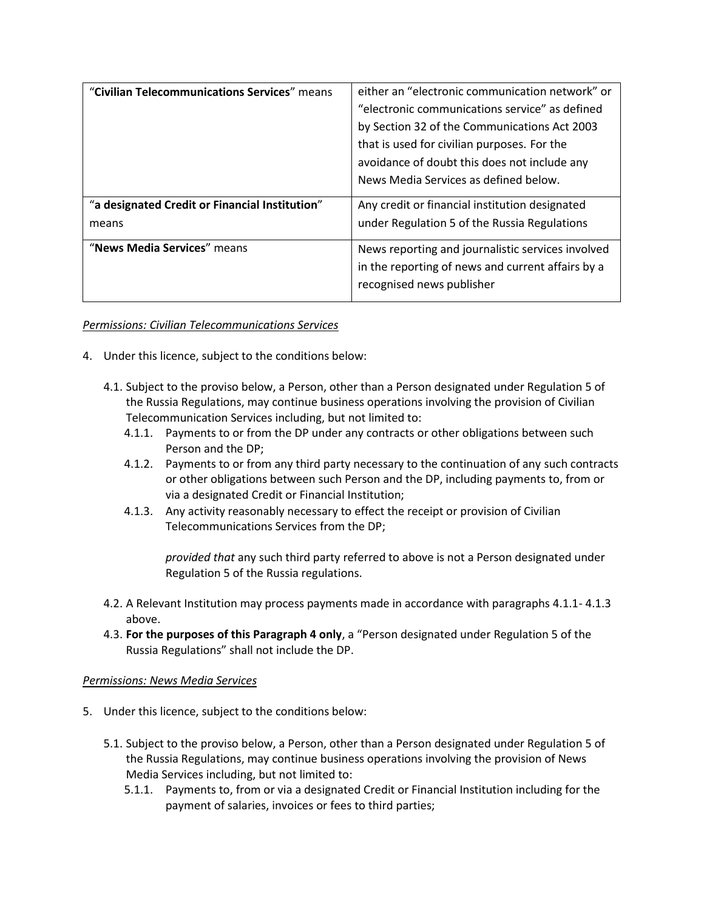| "Civilian Telecommunications Services" means   | either an "electronic communication network" or   |
|------------------------------------------------|---------------------------------------------------|
|                                                | "electronic communications service" as defined    |
|                                                | by Section 32 of the Communications Act 2003      |
|                                                | that is used for civilian purposes. For the       |
|                                                | avoidance of doubt this does not include any      |
|                                                | News Media Services as defined below.             |
| "a designated Credit or Financial Institution" | Any credit or financial institution designated    |
| means                                          | under Regulation 5 of the Russia Regulations      |
| "News Media Services" means                    | News reporting and journalistic services involved |
|                                                | in the reporting of news and current affairs by a |
|                                                | recognised news publisher                         |

### *Permissions: Civilian Telecommunications Services*

- 4. Under this licence, subject to the conditions below:
	- 4.1. Subject to the proviso below, a Person, other than a Person designated under Regulation 5 of the Russia Regulations, may continue business operations involving the provision of Civilian Telecommunication Services including, but not limited to:
		- 4.1.1. Payments to or from the DP under any contracts or other obligations between such Person and the DP;
		- 4.1.2. Payments to or from any third party necessary to the continuation of any such contracts or other obligations between such Person and the DP, including payments to, from or via a designated Credit or Financial Institution;
		- 4.1.3. Any activity reasonably necessary to effect the receipt or provision of Civilian Telecommunications Services from the DP;

*provided that* any such third party referred to above is not a Person designated under Regulation 5 of the Russia regulations.

- 4.2. A Relevant Institution may process payments made in accordance with paragraphs 4.1.1- 4.1.3 above.
- 4.3. **For the purposes of this Paragraph 4 only**, a "Person designated under Regulation 5 of the Russia Regulations" shall not include the DP.

### *Permissions: News Media Services*

- 5. Under this licence, subject to the conditions below:
	- 5.1. Subject to the proviso below, a Person, other than a Person designated under Regulation 5 of the Russia Regulations, may continue business operations involving the provision of News Media Services including, but not limited to:
		- 5.1.1. Payments to, from or via a designated Credit or Financial Institution including for the payment of salaries, invoices or fees to third parties;